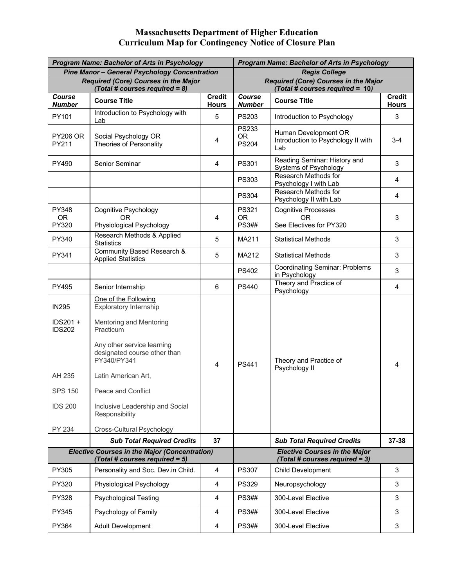## **Massachusetts Department of Higher Education Curriculum Map for Contingency Notice of Closure Plan**

|                                                                                                   | <b>Program Name: Bachelor of Arts in Psychology</b>                                                                                                                                                                                                                                                       | <b>Program Name: Bachelor of Arts in Psychology</b>                    |                                                                                |                                                                   |                               |
|---------------------------------------------------------------------------------------------------|-----------------------------------------------------------------------------------------------------------------------------------------------------------------------------------------------------------------------------------------------------------------------------------------------------------|------------------------------------------------------------------------|--------------------------------------------------------------------------------|-------------------------------------------------------------------|-------------------------------|
|                                                                                                   | <b>Pine Manor - General Psychology Concentration</b>                                                                                                                                                                                                                                                      | <b>Regis College</b>                                                   |                                                                                |                                                                   |                               |
| <b>Required (Core) Courses in the Major</b><br>(Total # courses required = 8)                     |                                                                                                                                                                                                                                                                                                           |                                                                        | <b>Required (Core) Courses in the Major</b><br>(Total # courses required = 10) |                                                                   |                               |
| Course<br><b>Number</b>                                                                           | <b>Course Title</b>                                                                                                                                                                                                                                                                                       | <b>Credit</b><br><b>Hours</b>                                          | Course<br><b>Number</b>                                                        | <b>Course Title</b>                                               | <b>Credit</b><br><b>Hours</b> |
| PY101                                                                                             | Introduction to Psychology with<br>Lab                                                                                                                                                                                                                                                                    | 5                                                                      | <b>PS203</b>                                                                   | Introduction to Psychology                                        | 3                             |
| <b>PY206 OR</b><br>PY211                                                                          | Social Psychology OR<br><b>Theories of Personality</b>                                                                                                                                                                                                                                                    | 4                                                                      | <b>PS233</b><br><b>OR</b><br><b>PS204</b>                                      | Human Development OR<br>Introduction to Psychology II with<br>Lab | $3 - 4$                       |
| PY490                                                                                             | Senior Seminar                                                                                                                                                                                                                                                                                            | 4                                                                      | PS301                                                                          | Reading Seminar: History and<br>Systems of Psychology             | 3                             |
|                                                                                                   |                                                                                                                                                                                                                                                                                                           |                                                                        | <b>PS303</b>                                                                   | Research Methods for<br>Psychology I with Lab                     | 4                             |
|                                                                                                   |                                                                                                                                                                                                                                                                                                           |                                                                        | <b>PS304</b>                                                                   | Research Methods for<br>Psychology II with Lab                    | $\overline{4}$                |
| PY348<br><b>OR</b>                                                                                | <b>Cognitive Psychology</b><br>OR                                                                                                                                                                                                                                                                         | 4                                                                      | <b>PS321</b><br><b>OR</b>                                                      | <b>Cognitive Processes</b><br>OR.                                 | 3                             |
| PY320                                                                                             | Physiological Psychology                                                                                                                                                                                                                                                                                  |                                                                        | <b>PS3##</b>                                                                   | See Electives for PY320                                           |                               |
| PY340                                                                                             | Research Methods & Applied<br><b>Statistics</b>                                                                                                                                                                                                                                                           | 5                                                                      | MA211                                                                          | <b>Statistical Methods</b>                                        | 3                             |
| PY341                                                                                             | Community Based Research &<br><b>Applied Statistics</b>                                                                                                                                                                                                                                                   | 5                                                                      | MA212                                                                          | <b>Statistical Methods</b>                                        | 3                             |
|                                                                                                   |                                                                                                                                                                                                                                                                                                           |                                                                        | <b>PS402</b>                                                                   | <b>Coordinating Seminar: Problems</b><br>in Psychology            | 3                             |
| PY495                                                                                             | Senior Internship                                                                                                                                                                                                                                                                                         | 6                                                                      | <b>PS440</b>                                                                   | Theory and Practice of<br>Psychology                              | 4                             |
| <b>IN295</b><br>IDS201 +<br><b>IDS202</b><br>AH 235<br><b>SPS 150</b><br><b>IDS 200</b><br>PY 234 | One of the Following<br><b>Exploratory Internship</b><br>Mentoring and Mentoring<br>Practicum<br>Any other service learning<br>designated course other than<br>PY340/PY341<br>Latin American Art,<br>Peace and Conflict<br>Inclusive Leadership and Social<br>Responsibility<br>Cross-Cultural Psychology | 4                                                                      | <b>PS441</b>                                                                   | Theory and Practice of<br>Psychology II                           | 4                             |
|                                                                                                   | <b>Sub Total Required Credits</b>                                                                                                                                                                                                                                                                         | 37                                                                     |                                                                                | <b>Sub Total Required Credits</b>                                 | 37-38                         |
| <b>Elective Courses in the Major (Concentration)</b><br>(Total # courses required = 5)            |                                                                                                                                                                                                                                                                                                           | <b>Elective Courses in the Major</b><br>(Total # courses required = 3) |                                                                                |                                                                   |                               |
| PY305                                                                                             | Personality and Soc. Dev.in Child.                                                                                                                                                                                                                                                                        | $\overline{\mathcal{A}}$                                               | <b>PS307</b>                                                                   | Child Development                                                 | 3                             |
| PY320                                                                                             | Physiological Psychology                                                                                                                                                                                                                                                                                  | $\overline{4}$                                                         | <b>PS329</b>                                                                   | Neuropsychology                                                   | 3                             |
| PY328                                                                                             | <b>Psychological Testing</b>                                                                                                                                                                                                                                                                              | 4                                                                      | <b>PS3##</b>                                                                   | 300-Level Elective                                                | 3                             |
| PY345                                                                                             | Psychology of Family                                                                                                                                                                                                                                                                                      | 4                                                                      | <b>PS3##</b>                                                                   | 300-Level Elective                                                | 3                             |
| PY364                                                                                             | Adult Development                                                                                                                                                                                                                                                                                         | 4                                                                      | <b>PS3##</b>                                                                   | 300-Level Elective                                                | 3                             |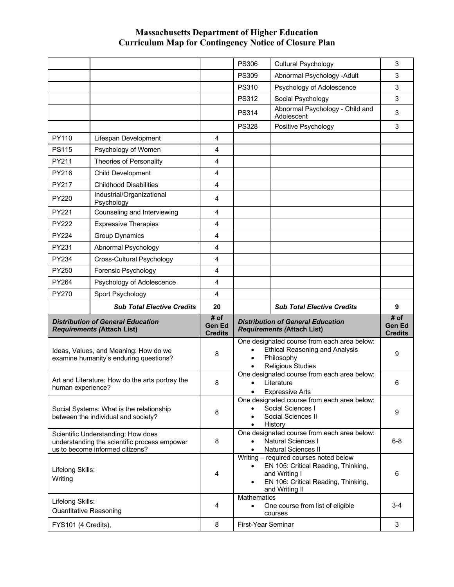## **Massachusetts Department of Higher Education Curriculum Map for Contingency Notice of Closure Plan**

|                                                   |                                                                                                                       |                                         | <b>PS306</b>             | <b>Cultural Psychology</b>                                                                                                                              | 3                                       |
|---------------------------------------------------|-----------------------------------------------------------------------------------------------------------------------|-----------------------------------------|--------------------------|---------------------------------------------------------------------------------------------------------------------------------------------------------|-----------------------------------------|
|                                                   |                                                                                                                       |                                         | <b>PS309</b>             | Abnormal Psychology -Adult                                                                                                                              | 3                                       |
|                                                   |                                                                                                                       |                                         | <b>PS310</b>             | Psychology of Adolescence                                                                                                                               | 3                                       |
|                                                   |                                                                                                                       |                                         | <b>PS312</b>             | Social Psychology                                                                                                                                       | 3                                       |
|                                                   |                                                                                                                       |                                         | <b>PS314</b>             | Abnormal Psychology - Child and<br>Adolescent                                                                                                           | 3                                       |
|                                                   |                                                                                                                       |                                         | <b>PS328</b>             | Positive Psychology                                                                                                                                     | 3                                       |
| PY110                                             | Lifespan Development                                                                                                  | 4                                       |                          |                                                                                                                                                         |                                         |
| <b>PS115</b>                                      | Psychology of Women                                                                                                   | 4                                       |                          |                                                                                                                                                         |                                         |
| PY211                                             | <b>Theories of Personality</b>                                                                                        | 4                                       |                          |                                                                                                                                                         |                                         |
| PY216                                             | <b>Child Development</b>                                                                                              | 4                                       |                          |                                                                                                                                                         |                                         |
| PY217                                             | <b>Childhood Disabilities</b>                                                                                         | 4                                       |                          |                                                                                                                                                         |                                         |
| <b>PY220</b>                                      | Industrial/Organizational<br>Psychology                                                                               | 4                                       |                          |                                                                                                                                                         |                                         |
| PY221                                             | Counseling and Interviewing                                                                                           | 4                                       |                          |                                                                                                                                                         |                                         |
| <b>PY222</b>                                      | <b>Expressive Therapies</b>                                                                                           | 4                                       |                          |                                                                                                                                                         |                                         |
| <b>PY224</b>                                      | Group Dynamics                                                                                                        | $\overline{\mathbf{4}}$                 |                          |                                                                                                                                                         |                                         |
| PY231                                             | Abnormal Psychology                                                                                                   | 4                                       |                          |                                                                                                                                                         |                                         |
| PY234                                             | Cross-Cultural Psychology                                                                                             | 4                                       |                          |                                                                                                                                                         |                                         |
| PY250                                             | Forensic Psychology                                                                                                   | 4                                       |                          |                                                                                                                                                         |                                         |
| <b>PY264</b>                                      | Psychology of Adolescence                                                                                             | 4                                       |                          |                                                                                                                                                         |                                         |
| PY270                                             | Sport Psychology                                                                                                      | 4                                       |                          |                                                                                                                                                         |                                         |
|                                                   |                                                                                                                       |                                         |                          |                                                                                                                                                         |                                         |
|                                                   | <b>Sub Total Elective Credits</b>                                                                                     | 20                                      |                          | <b>Sub Total Elective Credits</b>                                                                                                                       | 9                                       |
|                                                   | <b>Distribution of General Education</b><br><b>Requirements (Attach List)</b>                                         | # of<br><b>Gen Ed</b><br><b>Credits</b> |                          | <b>Distribution of General Education</b><br><b>Requirements (Attach List)</b>                                                                           | # of<br><b>Gen Ed</b><br><b>Credits</b> |
|                                                   | Ideas, Values, and Meaning: How do we<br>examine humanity's enduring questions?                                       | 8                                       |                          | One designated course from each area below:<br><b>Ethical Reasoning and Analysis</b><br>Philosophy<br><b>Religious Studies</b>                          | 9                                       |
| human experience?                                 | Art and Literature: How do the arts portray the                                                                       | 8                                       |                          | One designated course from each area below:<br>Literature<br><b>Expressive Arts</b>                                                                     | 6                                       |
|                                                   | Social Systems: What is the relationship<br>between the individual and society?                                       | 8                                       |                          | One designated course from each area below:<br>Social Sciences I<br>Social Sciences II<br>History                                                       | 9                                       |
|                                                   | Scientific Understanding: How does<br>understanding the scientific process empower<br>us to become informed citizens? | 8                                       |                          | One designated course from each area below:<br>Natural Sciences I<br><b>Natural Sciences II</b>                                                         | $6 - 8$                                 |
| Lifelong Skills:<br>Writing                       |                                                                                                                       | 4                                       |                          | Writing - required courses noted below<br>EN 105: Critical Reading, Thinking,<br>and Writing I<br>EN 106: Critical Reading, Thinking,<br>and Writing II | 6                                       |
| Lifelong Skills:<br><b>Quantitative Reasoning</b> |                                                                                                                       | 4                                       | Mathematics<br>$\bullet$ | One course from list of eligible<br>courses                                                                                                             | 3-4                                     |